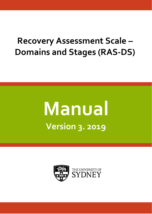## **Recovery Assessment Scale – Domains and Stages (RAS‐DS)**

# **Manual Version 3. 2019**

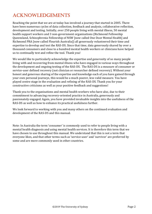## ACKNOWLEDGEMENTS

Reaching the point that we are at today has involved a journey that started in 2005. There have been numerous cycles of data collection, feedback and analysis, collaborative reflection, development and testing. Initially, over 250 people living with mental illness, 50 mental health support workers and 3 non-government organisations (Richmond Fellowship Queensland, Schizophrenia Fellowship of NSW [now called One Door Mental Health] and Richmond PRA [now called Flourish Australia]) all generously volunteered their time and expertise to develop and test the RAS-DS. Since that time, data generously shared by over a thousand consumers and close to a hundred mental health workers or clinicians have helped us to continually test and refine the tool. Thank you!

We would like to particularly acknowledge the expertise and generosity of so many people living with and recovering from mental illness who have engaged in various ways throughout the development and ongoing testing of the RAS-DS. The RAS-DS is a measure of consumer or service-user defined recovery (not clinician or researcher defined recovery). Without your honest and generous sharing of the expertise and knowledge each of you have gained through your own personal journeys, this would be a much poorer, less valid measure. You have played centre stage in the evaluation and refining of the RAS-DS. Thank you for your constructive criticisms as well as your positive feedback and suggestions!

Thank you to the organisations and mental health workers who have also, due to their commitment to advancing recovery-oriented practice in Australia, generously and passionately engaged. Again, you have provided invaluable insights into the usefulness of the RAS-DS as well as how to enhance its practical usefulness further.

We look forward to working with you and many others on the continued evaluation and development of the RAS-DS and this manual.

Note: In Australia the term 'consumer' is commonly used to refer to people living with a mental health diagnosis and using mental health services. It is therefore this term that we have chosen to use throughout this manual. We understand that this is not a term that everyone likes, and that other terms such as 'service-user' and 'survivor' are preferred by some and are more commonly used in other countries.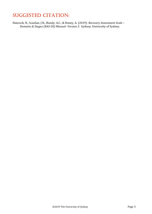## SUGGESTED CITATION:

Hancock, N., Scanlan, J.N., Bundy, A.C., & Honey, A. (2019). *Recovery Assessment Scale* -*Domains & Stages (RAS‐DS) Manual*‐ *Version 3.* Sydney; University of Sydney.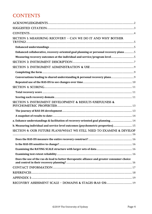## **CONTENTS**

| SECTION 1: MEASURING RECOVERY - CAN WE DO IT AND WHY BOTHER                                |  |
|--------------------------------------------------------------------------------------------|--|
|                                                                                            |  |
| Enhanced collaborative, recovery-oriented goal planning or personal recovery plans 5       |  |
|                                                                                            |  |
|                                                                                            |  |
|                                                                                            |  |
|                                                                                            |  |
|                                                                                            |  |
|                                                                                            |  |
|                                                                                            |  |
|                                                                                            |  |
|                                                                                            |  |
| SECTION 5: INSTRUMENT DEVELOPMENT & RESULTS (USEFULNESS &                                  |  |
|                                                                                            |  |
|                                                                                            |  |
|                                                                                            |  |
| b. Measuring individual and service level outcomes (psychometric properties) 15            |  |
| SECTION 6: OUR FUTURE PLANS/WHAT WE STILL NEED TO EXAMINE & DEVELOP                        |  |
|                                                                                            |  |
|                                                                                            |  |
|                                                                                            |  |
|                                                                                            |  |
|                                                                                            |  |
| Does the use of the ras-ds lead to better therapeutic alliance and greater consumer choice |  |
|                                                                                            |  |
|                                                                                            |  |
|                                                                                            |  |
|                                                                                            |  |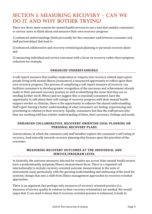## SECTION 1: MEASURING RECOVERY – CAN WE DO IT AND WHY BOTHER TRYING?

There are three main reasons for mental health services to use a tool that enables consumers or service users to think about and measure their own recovery progress:

1) enhanced understandings (both personally for the consumer and between consumer and staff partnerships) that lead to

2) enhanced collaborative and recovery-oriented goal planning or personal recovery plans and 

3) measuring individual and service outcomes with a focus on recovery rather than symptom reduction for example.

#### **ENHANCED UNDERSTANDINGS**

A self-report measure that enables exploration or enquiry into recovery related topics gives people living with mental illness (consumers) a structured opportunity to reflect upon their own recovery progress. The process of completing a self-report measure of recovery can facilitate consumers to develop greater recognition of the successes and achievement already made in their personal recovery journey as well as identifying the areas that they see as needing further work. When (and we suggest this is essential) consumers have the opportunity to talk about their self-ratings of recovery progress with their mental health support worker or clinician, there is the opportunity to enhance the shared understanding. Staff report having a better understanding of what consumers are feeling, experiencing and prioritising in relation to their recovery. Equally, consumers feel that the staff person who they are working with has a better understanding of them, their successes, feelings and needs.

#### **ENHANCED COLLABORATIVE, RECOVERY‐ORIENTED GOAL PLANNING OR PERSONAL RECOVERY PLANS**

Conversations, in which the consumer and staff member explore the consumer's self-rating of recovery, lead naturally towards recovery planning that focuses upon the priorities of the consumer. 

#### **MEASURING RECOVERY OUTCOMES AT THE INDIVIDUAL AND SERVICE/PROGRAM LEVEL**

In Australia, the outcome measures selected for routine use across State mental health sectors have a predominantly symptom/illness measurement focus. There is a repeated call internationally to include recovery-oriented outcome measurement in the suite of instruments used, particularly with the growing understanding and embracing of the need for systemic change that sees a shift from illness management approaches to recovery-oriented approaches. 

There is an argument that perhaps only measures of recovery-oriented practice (i.e., measures of service quality in relation to their recovery-orientation) are needed. We would argue that 1) we need to know that if recovery-oriented practice is enhanced, it leads to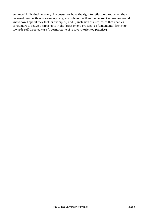enhanced individual recovery, 2) consumers have the right to reflect and report on their personal perspectives of recovery progress (who other than the person themselves would know how hopeful they feel for example?) and 3) inclusion of a structure that enables consumers to actively participate in the 'assessment' process is a fundamental first step towards self-directed care (a cornerstone of recovery-oriented practice).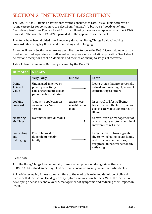## SECTION 2: INSTRUMENT DESCRIPTION

The RAS-DS has 38 items or statements for the consumer to rate. It is a Likert scale with 4 rating categories for consumers to select from: "untrue"; "a bit true"; "mostly true" and "completely true". See Figures 1 and 2 on the following page for examples of what the RAS-DS looks like. The complete RAS-DS is provided in the appendices at the back.

The items have been divided into 4 recovery domains: Doing Things I Value; Looking Forward; Mastering My Illness and Connecting and Belonging.

As you will see in Section 4 where we describe how to score the RAS-DS, each domain can be used and scored separately as well as collectively for a more holistic exploration. See Table 1 below for descriptions of the 4 domains and their relationship to stages of recovery.

| <b>DOMAINS</b>                        | <b>STAGES</b>                                                                                          |                                       |                                                                                                                                                   |
|---------------------------------------|--------------------------------------------------------------------------------------------------------|---------------------------------------|---------------------------------------------------------------------------------------------------------------------------------------------------|
|                                       | <b>Very Early</b>                                                                                      | <b>Middle</b>                         | Later                                                                                                                                             |
| Doing<br>Things I<br>Value            | Unengaged, inactive or<br>poverty of activity or<br>role engagement; sick or<br>patient role dominates |                                       | Doing things that are personally<br>valued and meaningful; sense of<br>contributing to others                                                     |
| Looking<br>Forward                    | Anguish; hopelessness;<br>views self as "sick<br>person"                                               | Awareness;<br>insight; action<br>plan | In control of life; wellbeing;<br>hopeful about the future; views<br>self as external to experience of<br>illness                                 |
| <b>Mastering</b><br>My Illness        | Dominated by symptoms                                                                                  |                                       | Control over, or management of,<br>any residual symptoms; minimal<br>interference with life                                                       |
| Connecting<br>and<br><b>Belonging</b> | Few relationships;<br>dependent; mostly<br>family                                                      |                                       | Larger social network; greater<br>diversity including peers, family<br>and broader communities;<br>reciprocal in nature; personally<br>satisfying |

Table 1: Four Domains of Recovery covered by the RAS-DS

Please note:

1. In the Doing Things I Value domain, there is an emphasis on doing things that are PERSONALLY valued /meaningful rather than a focus on socially valued activities/roles

2. The Mastering My Illness domain differs to the medically oriented definition of clinical recovery that focuses on the degree of symptom amelioration. In the RAS-DS the focus is on developing a sense of control over & management of symptoms and reducing their impact on living.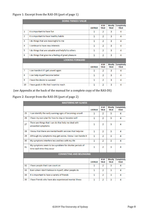|                | <b>DOING THINGS I VALUE</b>                          |               |                      |                              |                                  |  |
|----------------|------------------------------------------------------|---------------|----------------------|------------------------------|----------------------------------|--|
|                |                                                      | <b>UNTRUE</b> | A bit<br><b>TRUE</b> | <b>Mostly</b><br><b>TRUE</b> | <b>Completely</b><br><b>TRUE</b> |  |
| $\mathbf{1}$   | It is important to have fun                          | 1             | $\mathcal{P}$        | 3                            | 4                                |  |
| $\overline{2}$ | It is important to have healthy habits               | 1             | 2                    | 3                            | 4                                |  |
| $\mathbf{3}$   | I do things that are meaningful to me                | 1             | $\mathcal{P}$        | 3                            | 4                                |  |
| 4              | I continue to have new interests                     | 1             | $\overline{2}$       | 3                            | 4                                |  |
| 5              | I do things that are valuable and helpful to others  | 1             | 2                    | 3                            | 4                                |  |
| 6              | I do things that give me a feeling of great pleasure | 1             | 2                    | 3                            | 4                                |  |
|                | <b>LOOKING FORWARD</b>                               |               |                      |                              |                                  |  |
|                |                                                      | <b>UNTRUE</b> | A bit<br><b>TRUE</b> | <b>Mostly</b><br><b>TRUE</b> | <b>Completely</b><br><b>TRUE</b> |  |
| $\overline{7}$ | I can handle it if I get unwell again                | 1             | 2                    | 3                            | 4                                |  |
| 8              | I can help myself become better                      | 1             | $\overline{2}$       | 3                            | 4                                |  |
| 9              | I have the desire to succeed                         | 1             | 2                    | 3                            | 4                                |  |
| 10             | I have goals in life that I want to reach            | 1             | $\overline{2}$       | 3                            | 4                                |  |

#### Figure 1: Excerpt from the RAS-DS (part of page 1)

(see Appendix at the back of the manual for a complete copy of the RAS-DS)

#### Figure 2: Excerpt from the RAS-DS (part of page 2)

|                                 | <b>MASTERING MY ILLNESS</b>                                                          |               |                          |                              |                                  |
|---------------------------------|--------------------------------------------------------------------------------------|---------------|--------------------------|------------------------------|----------------------------------|
|                                 |                                                                                      | <b>UNTRUE</b> | A bit<br><b>TRUE</b>     | <b>Mostly</b><br><b>TRUE</b> | Completely<br><b>TRUE</b>        |
| 25                              | I can identify the early warning signs of becoming unwell                            | 1             | 2                        | 3                            | 4                                |
| 26                              | I have my own plan for how to stay or become well                                    | 1             | $\overline{2}$           | 3                            | 4                                |
| 27                              | There are things that I can do that help me deal with<br>unwanted symptoms           | 1             | $\overline{2}$           | 3                            | 4                                |
| 28                              | I know that there are mental health services that help me                            | $\mathbf{1}$  | $\mathcal{P}$            | 3                            | 4                                |
| 29                              | Although my symptoms may get worse, I know I can handle it                           | $\mathbf{1}$  | $\overline{2}$           | 3                            | 4                                |
| 30                              | My symptoms interfere less and less with my life                                     | $\mathbf{1}$  | $\overline{2}$           | 3                            | 4                                |
| 31                              | My symptoms seem to be a problem for shorter periods of<br>time each time they occur | $\mathbf{1}$  | $\overline{\phantom{a}}$ | 3                            | 4                                |
| <b>CONNECTING AND BELONGING</b> |                                                                                      |               |                          |                              |                                  |
|                                 |                                                                                      | <b>UNTRUE</b> | A bit<br><b>TRUE</b>     | <b>Mostly</b><br><b>TRUE</b> | <b>Completely</b><br><b>TRUE</b> |
| 32                              | I have people that I can count on                                                    | $\mathbf{1}$  | $\overline{2}$           | 3                            | 4                                |
| 33                              | Even when I don't believe in myself, other people do                                 | $\mathbf{1}$  | 2                        | 3                            | 4                                |
| 34                              | It is important to have a variety of friends                                         | $\mathbf{1}$  | $\overline{\phantom{a}}$ | 3                            | 4                                |
| 35                              | I have friends who have also experienced mental illness                              | $\mathbf{1}$  | $\overline{2}$           | 3                            | 4                                |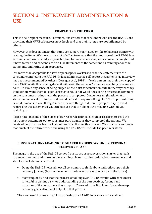## SECTION 3: INSTRUMENT ADMINISTRATION & **USE**

#### **COMPLETING THE FORM**

This is a self-report measure. Therefore, it is critical that consumers who use the RAS-DS are providing their OWN self-assessment freely and that their ratings are not influenced by others. 

However, this does not mean that some consumers might need or like to have assistance with reading the items. We have made a lot of effort to ensure that the language of the RAS-DS is as accessible and user-friendly as possible, but, for various reasons, some consumers might find it hard to read and concentrate on all 38 statements at the same time as thinking about the statements and rating their responses.

It is more than acceptable for staff or peers/peer workers to read the statements to the consumer completing the RAS-DS. In fact, administering self-report instruments via interview has been recommended by others (Corrigan et al, 1999). If each person has their own copy of the RAS-DS while this is being done, it will avoid the sense of "someone watching over me as I do it". To avoid any sense of being judged or the risk that consumers rate in the way that they think others want them to, people present should not watch the scoring process or comment on the consumers ratings until the process is completed. Consumers might ask what a statement means, if this happens it would be best to say something like "The important thing is what it means to you. It might mean different things to different people". Try to avoid rephrasing the statement if you can because that can change the meaning without you realising it.

Please note: In some of the stages of our research, trained consumer researchers read the instrument statements out to consumer participants as they completed the ratings. We received only positive feedback about peers facilitating this process. We anticipate and hope that much of the future work done using the RAS-DS will include the peer-workforce.

#### **CONVERSATIONS LEADING TO SHARED UNDERSTANDING & PERSONAL RECOVERY PLANS**

The magic in the use of the RAS-DS comes from its use as a conversation starter that leads to deeper personal and shared understandings. In our studies to-date, both consumers and staff feedback demonstrate that:

- Doing the RAS-DS helps almost all consumers to think about and reflect upon their recovery journey (both achievements to-date and areas to work on in the future)
- Staff frequently find that the process of talking over RAS-DS results with consumers is helpful in gaining a richer understanding of the perspectives, feelings and priorities of the consumers they support. Those who use it to identify and develop recovery goals also find it helpful in that process.

The most useful or meaningful way of using the RAS-DS in practice is for staff and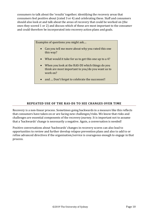consumers to talk about the 'results' together; identifying the recovery areas that consumers feel positive about (rated 3 or 4) and celebrating these. Staff and consumers should also look at and talk about the areas of recovery that could be worked on (the ones they scored 1 or 2) and discuss which of these are most important to the consumer and could therefore be incorporated into recovery action plans and goals.

Examples of questions you might ask....

- Can you tell me more about why you rated this one this way?
- What would it take for us to get this one up to a 4?
- When you look at the RAS-DS which things do you think are most important to you/do you want us to work on?
- and .... Don't forget to celebrate the successes!!

#### **REPEATED USE OF THE RAS‐DS TO SEE CHANGES OVER TIME**

Recovery is a non-linear process. Sometimes going backwards in a measure like this reflects that consumers have taken on or are facing new challenges/risks. We know that risks and challenges are essential components of the recovery journey. It is important not to assume that a 'backwards' change is necessarily a negative. Again, a conversation is needed!

Positive conversations about 'backwards' changes in recovery scores can also lead to opportunities to review and further develop relapse prevention plans and also to add to or refine advanced directives if the organisation/service is courageous enough to engage in that process.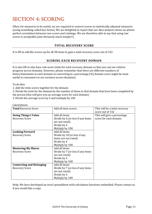## SECTION 4: SCORING

Often, for measures to be useful, we are required to convert scores to statistically adjusted measures (using something called key forms). We are delighted to report that our data analysis shows an almost perfect correlation between raw scores and rankings. We are therefore able to say that using raw scores is acceptable (and obviously much simpler!).

#### **TOTAL RECOVERY SCORE**

It is OK to add the scores up for all 38 items to gain a total recovery score out of 152.

#### **SCORING EACH RECOVERY DOMAIN**

It is also OK to also have sub-score totals for each recovery domain so that you can see relative progress across domains. However, please remember that there are different numbers of items/statements in each domain so converting to a percentage  $\left(\% \right)$  domain score might be most useful to consumers to see variance across domains).

To do this:

1. Add the item scores together for the domain

2. Divide the total for the domain by the number of items in that domain that have been completed by the person (this will give you an average score for each domain)

3. Divide the average score by 4 and multiply by 100

| <b>Total Recovery Score</b>     | Add all item scores.              | This will be a total recovery |
|---------------------------------|-----------------------------------|-------------------------------|
|                                 |                                   | score out of 152              |
| <b>Doing Things I Value</b>     | Add all items                     | This will give a percentage   |
| <b>Recovery Score</b>           | Divide by 6 (or less if any items | score for each domain         |
|                                 | are not rated)                    |                               |
|                                 | Divide by 4                       |                               |
|                                 | Multiply by 100                   |                               |
| <b>Looking Forward</b>          | Add all items                     |                               |
| <b>Recovery Score</b>           | Divide by 18 (or less if any      |                               |
|                                 | items are not rated)              |                               |
|                                 | Divide by 4                       |                               |
|                                 | Multiply by 100                   |                               |
| <b>Mastering My Illness</b>     | Add all items                     |                               |
| <b>Recovery Score</b>           | Divide by 7 (or less if any items |                               |
|                                 | are not rated)                    |                               |
|                                 | Divide by 4                       |                               |
|                                 | Multiply by 100                   |                               |
| <b>Connecting and Belonging</b> | Add all items                     |                               |
| <b>Recovery Score</b>           | Divide by 7 (or less if any items |                               |
|                                 | are not rated)                    |                               |
|                                 | Divide by 4                       |                               |
|                                 | Multiply by 100                   |                               |

Calculations: 

Help: We have developed an excel spreadsheet with calculation functions embedded. Please contact us if you would like a copy.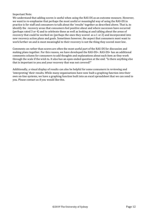**Important Note:** 

We understand that adding scores is useful when using the RAS-DS as an outcome measure. However, we want to re-emphasise that perhaps the most useful or meaningful way of using the RAS-DS in practice is for staff and consumers to talk about the 'results' together as described above. That is, to identify the recovery areas that consumers feel positive about and where successes have occurred (perhaps rated 3 or 4) and to celebrate these as well as looking at and talking about the areas of recovery that could be worked on (perhaps the ones they scored as a 1 or 2) and incorporated into new recovery action plans and goals. Sometimes however, the aspect that consumers most want to work further on and is most meaningful to their recovery is not the thing they scored most low.

Comments on rather than scores are often the most useful part of the RAS-DS for discussion and making plans together. For this reason, we have developed the RAS-DS+. RAS-DS+ has an additional comments column for consumers to add thoughts and explanations about each item as they work through the scale if the wish to. It also has an open-ended question at the end: "Is there anything else that is important to you and your recovery that was not covered?"

Additionally, a visual display of results can also be helpful for some consumers in reviewing and 'interpreting' their results. While many organisations have now built a graphing function into their own on-line systems, we have a graphing function built into an excel spreadsheet that we can send to you. Please contact us if you would like this.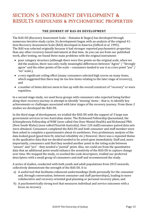## SECTION 5: INSTRUMENT DEVELOPMENT & RESULTS (USEFULNESS & PSYCHOMETRIC PROPERTIES)

#### **THE JOURNEY OF RAS‐DS DEVELOPMENT**

The RAS-DS (Recovery Assessment Scale – Domains & Stages) has developed through numerous iterative study cycles. Its development began with an analysis of the original 41item Recovery Assessment Scale (RAS) developed in America (Gifford et al. 1995). The RAS was selected originally because it had stronger reported psychometric properties than any other recovery-based instrument at that time. As you can see from our published work, after testing, we found three main problems with the original instrument:

- poor category structure (although there were five points on the original scale, when we did the analysis, there was only really meaningful differences between "Agree" / "Strongly agree" and the other points of the scale – consumers tended to use it as a two point "yes"  $/$ "no" scale.),
- a very significant ceiling effect (many consumers selected high scores on many items, which suggested that there may be too few items relating to the later stage of recovery), and
- a number of items did not seem to line up with the overall construct of "recovery" or were repetitive.

In a second stage study, we used focus groups with consumers who reported being further along their recovery journey in attempt to identify 'missing' items – that is, to identify key achievements or challenges associated with later stages of the recovery journey. From these 2 studies we developed the RAS-DS.

In the third stage of development, we trialled the RAS-DS with the support of 3 large non government services in two Australian states: The Richmond Fellowship Queensland, the Schizophrenia Fellowship of NSW (now called One Door Mental Health) and Richmond PRA (New South Wales) (now called Flourish Australia). Over 120 staff/consumer paired data sets were obtained. Consumers completed the RAS-DS and both consumer and staff member were then asked to complete a questionnaire about its usefulness. Very preliminary analysis of the data looked good (good item fit, internal reliability etc.) However, there was a repeated theme in the qualitative data that we decided needed to be acted upon immediately. Staff and, more importantly, consumers said that they needed another point in the rating scale between "unsure" and "yes" - they needed a "partial" point. Also, we could see from the quantitative data that an additional point would enhance the sensitivity of the RAS-DS to capture change over time. We stopped the study, re-worked the scale descriptors, trialled our preferred descriptors with a small group of consumers and staff and recommenced the study.

A series of studies, conducted with both youth and adult populations from 2015 onwards, collectively demonstrate the strength of the RAS-DS. It is:

- a) A useful tool that facilitates enhanced understandings (both personally for the consumer and, through conversation, between consumer and staff partnerships), leading to more collaborative and recovery-oriented goal planning or personal recovery plans, and
- b) A psychometrically strong tool that measures individual and service outcomes with a focus on recovery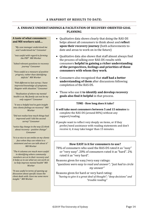#### **A. ENHANCE UNDERSTANDINGS & FACILITATION OF RECOVERY‐ORIENTED GOAL PLANNING**

#### **A taste of what consumers and MH workers said....**

*"My case manager understood me and I understood me" Consumer*

*"was useful with regard to forming the PRP" MH Worker*

*"Asked relevant questions to recovery journey" Consumer*

*"Very useful as a measure of positive progress, rather than identifying deficits" MH Worker*

*"Felt different to last survey. I have improved knowledge of symptoms. Happier with situation." Consumer*

*"Realisation of where my mental health is at. My family can not be my only support" Consumer*

*"it was a helpful tool to gain insight into clients feelings on recovery" MH Worker*

*"Did not realise how much things had improved until I did the second survey" Consumer*

*"notice big change in the way (I) think about recovery ‐ positive change" Consumer*

*"it is so nice to see smiles on my clients face when they can relate to a statement and we can talk about it" MH Worker*

*"The 4 columns are much more useful in identifying where community members are at in their recovery and it helps us to see what we can work on to help improve mental health" MH Worker*

*"It was useful in terms of opening up discussion about specific issues the client deals with. Gave me some more insight." MH Worker*

- Oualitative data shows clearly that doing the RAS-DS helps almost all consumers to think about and **reflect upon their recovery journey** (both achievements todate and areas to work on in the future)
- Oualitative data also shows that staff almost always find the process of talking over RAS-DS results with consumers **helpful in gaining a richer understanding of the perspectives, feelings and priorities of those consumers with whom they work**.
- Consumers also recognised that **staff had a better understanding of them** after discussions following completion of the RAS-DS.
- Those who use it **to identify and develop recovery goals** also find it helpful in that process.

#### **TIME ‐ How long does it take?**

**It will take most consumers between 5 and 15 minutes** to complete the RAS-DS (around  $80\%$ ) without any support/reading. 

If people want to reflect very deeply on items, or if they prefer/need assistance with reading statements and don't receive it, it may take longer than 15 minutes.

#### **How EASY is it for consumers to use?**

78% of consumers who used the RAS-DS rated it as "easy" or "very easy". 20% of consumers rated it as "hard". 2% rated it as "very hard".

Reasons given for easy/very easy ratings: *"questions were easy to read and answer"; "just had to circle my answer"*

Reasons given for hard or very hard rating: *"having to give it a great deal of thought"; "deep decisions" and "trouble reading"*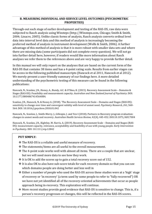#### **B. MEASURING INDIVIDUAL AND SERVICE LEVEL OUTCOMES (PSYCHOMETRIC PROPERTIES)**

Through-out each stage of earlier development and testing of the RAS-DS, raw data were subjected to Rasch analysis using Winsteps (http://Winsteps.com, Chicago; Smith & Smith, 2004; Linacre, 2005). Unlike classic forms of analysis, Rasch analysis converts ordinal level data into interval level data and this method of analysis is increasingly becoming the preferred method of analysis in instrument development (Wolfe & Smith, 2006). A further advantage of this method of analysis is that it is more robust with smaller data sets and where there are missing data (some participants did not complete every question). We will not go into further detail here, however, if readers would like more information about Rasch analyses we refer them to the references above and are very happy to provide further detail.

In this manual we will only report on the analyses that are based on the current form of the RAS-DS that contains 38 items and has a 4-point rating scale. Results from earlier stages can be access in the following published manuscripts (Hancock et al 2011, Hancock et al 2012). We merely present a user-friendly summary of our findings here. A more detailed understanding of the psychometric testing of this measure can be found in the following publications: 

Hancock, N., Scanlan, J.N., Honey, A., Bundy, A.C. & O'Shea, K. (2015). Recovery Assessment Scale - Domains & Stages (RAS‐DS): Feasibility and measurement capacity. *Australian and New Zealand Journal of Psychiatry*. DOI: 10.1177/0004867414564084. 

Scanlan, J.N., Hancock, N. & Honey A. (2018). 'The Recovery Assessment Scale – Domains and Stages (RAS-DS): sensitivity to change over time and convergent validity with level of unmet need. Psychiatry Research, 261, 560-564. DOI: 10.1016/j.psychres.2018.01.042

Hancock, N., Scanlan, J., Smith-Merry, J., Gillespie, J. and Yen I (2018). Partners in Recovery program evaluation: changes in unmet needs and recovery. *Australian Health Services Review,* 42(4), 445‐452. DOI:10.1071/AH17004 

Hancock, N., Scanlan, J.N., Kightley, M. Harris, A. (2019). Recovery Assessment Scale - Domains and Stages (RAS-DS): measurement capacity, relevance, acceptability and feasibility of use with young people. *Early Intervention in Psychiatry*. DOI: 10.1111/eip.12842 

#### **PUT SIMPLY:**

- ❖ The RAS-DS is a reliable and useful measure of recovery.
- $\cdot$  The statements/items are all useful to the overall measurement.
- ◆ The 4-point scale works well with almost all items. There are a couple that are unclear, but we will need more data to see how they work.
- $\cdot$  It is OK to add the scores up to gain a total recovery score out of 152.
- $\diamondsuit$  It is also OK to also have sub-score totals for each recovery domain so that you can see which domains people are doing better and less well in
- $\cdot$  Either a number of people who used the RAS-DS across these studies were at a 'high' stage of recovery or 'in recovery' (a term used by some people to refer to "fully recovered") OR we have not yet identified all of the recovery-oriented achievements that occur as people approach being in-recovery. This exploration will continue.
- $\div$  More recent studies provide good evidence that RAS-DS is sensitive to change. This is, if a person's recovery progresses or changes, this will be reflected in the RAS-DS scores.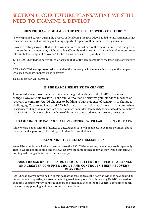## SECTION 6: OUR FUTURE PLANS/WHAT WE STILL NEED TO EXAMINE & DEVELOP

#### **DOES THE RAS‐DS MEASURE THE ENTIRE RECOVERY CONSTRUCT?**

As we explained earlier, during the process of developing the RAS-DS, we added items/statements that consumers identified as missing and being important aspects of their later recovery journeys.

However, testing shows us that while those items are indeed part of the recovery construct and give a richer/fuller instrument, they might not add sufficiently to the need for a 'harder' set of items, or items relevant to later stages of recovery. This has led us to consider 2 possibilities:

1. The RAS-DS still does not 'capture' or ask about all of the achievements of the later stage of recovery, or 

2. The RAS-DS does capture or ask about all of the recovery 'achievements, but many of the people who used the instrument were in recovery.

This exploration will continue.

#### **IS THE RAS‐DS SENSITIVE TO CHANGE?**

As reported above, more recent studies provide good evidence that RAS-DS is sensitive to change. However, this work will continue. Without an alternative gold-standard measure of recovery to compare RAS-DS changes to, building robust evidence of sensitivity to change is challenging. To date we have used CANSAS as a proximal and related measure for comparison. Sensitivity to change is an important aspect of instrument development/testing and to date we believe that RAS-DS has the most robust evidence of this when compared to other recovery measures.

#### **EXAMINING THE RATING SCALE STRUCTURE WITH LARGER SETS OF DATA**

While we are happy with the findings to date, further data will enable us to be more confident about the order and separation of the rating scale structure for all items.

#### **EXAMINING TEST‐RETEST RELIABILITY**

We will be examining whether consumers use the RAS-DS the same way when they use it repeatedly. That is, would people completing the RAS-DS give the same ratings today as they would tomorrow if nothing had changed in terms of their recovery?

#### **DOES THE USE OF THE RAS‐DS LEAD TO BETTER THERAPEUTIC ALLIANCE AND GREATER CONSUMER CHOICE AND CONTROL IN THEIR RECOVERY PLANNING?**

RAS-DS was always developed with this goal at the fore. With a solid body of evidence now behind its measurement properties, we are commencing work to explore if and how using RAS-DS can lead to enhanced consumer/provider relationships and maximise the choice and control a consumer has in their recovery planning and the actioning of these plans.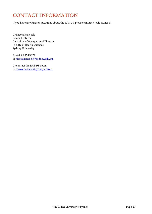## CONTACT INFORMATION

If you have any further questions about the RAS-DS, please contact Nicola Hancock

Dr Nicola Hancock Senior Lecturer Discipline of Occupational Therapy Faculty of Health Sciences Sydney University

P: +61 2 93519379 E: nicola.hancock@sydney.edu.au

Or contact the RAS-DS Team E: recovery.scale@sydney.edu.au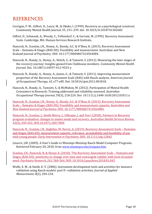## **REFERENCES**

- Corrigan, P. W., Giffort, D., Leary, M., & Okeke, I. (1999). Recovery as a psychological construct. Community Mental Health Journal, 35, 231-239. doi: 10.1023/A:1018741302682
- Giffort, D., Schmook, A., Woody, C., Vollendorf, C., & Gervain, M. (1995). Recovery Assessment Scale. Cambridge, MA: Human Services Research Institute.

Hancock, N., Scanlan, J.N., Honey, A., Bundy, A.C. & O'Shea, K. (2015). Recovery Assessment Scale – Domains & Stages (RAS-DS): Feasibility and measurement. Australian and New Zealand Journal of Psychiatry. DOI: 10.1177/0004867414564084.

- Hancock, N., Bundy, A., Honey, A., Helich, S., & Tamsett, S. (2012). Measuring the later stages of the recovery journey: Insights gained from Clubhouse members. Community Mental Health *Journal.* Doi: 10.1007/s10597‐012‐9533‐y
- Hancock, N., Bundy, A., Honey, A., James, G., & Tamsett, S. (2011). Improving measurement properties of the Recovery Assessment Scale (RAS) with Rasch analysis, *American Journal of Occupational Therapy, 65,* e77‐e85. Doi: 10.5014/ajot.2011.001818.
- Hancock, N., Bundy, A., Tamsett, S., & McMahon, M. (2012). Participation of Mental Health Consumers in Research: Training addressed and reliability assessed. Australian *Occupational Therapy Journal, 59*(3), 218‐224. Doi: 10.1111/j.1440‐1630.2012.01011.x

Hancock, N., Scanlan, J.N., Honey, A., Bundy, A.C. & O'Shea, K. (2015). Recovery Assessment Scale – Domains & Stages (RAS-DS): Feasibility and measurement capacity. Australian and *New Zealand Journal of Psychiatry*. DOI: 10.1177/0004867414564084. 

Hancock, N., Scanlan, J., Smith-Merry, J., Gillespie, J. and Yen I (2018). Partners in Recovery program evaluation: changes in unmet needs and recovery. *Australian Health Services Review,* 42(4), 445‐452. DOI:10.1071/AH17004 

Hancock, N., Scanlan, J.N., Kightley, M. Harris, A. (2019). Recovery Assessment Scale – Domains and Stages (RAS-DS): measurement capacity, relevance, acceptability and feasibility of use with young people. *Early Intervention in Psychiatry*. DOI: 10.1111/eip.12842

Linacre, J.M. (2005). A User's Guide to Winsteps Ministep Rasch-Model Computer Programs. Retrieved February 20, 2010, from www.winsteps.com/winpass.htm

Scanlan, J.N., Hancock, N. & Honey A. (2018). 'The Recovery Assessment Scale – Domains and Stages (RAS-DS): sensitivity to change over time and convergent validity with level of unmet need. *Psychiatry Research, 261*, 560‐564. DOI: 10.1016/j.psychres.2018.01.042 

Wolfe, E. W., & Smith, E. V. (2006). Instrument development tools and activities for measure validation using Rasch models: part II--validation activities. *Journal of Applied Measurement, 8*(2), 204‐234.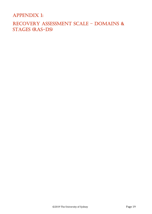APPENDIX 1:

RECOVERY ASSESSMENT SCALE – DOMAINS & STAGES (RAS-DS)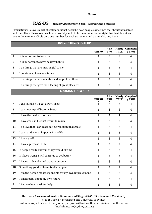#### **RAS‐DS (Recovery Assessment Scale – Domains and Stages)**

Instructions: Below is a list of statements that describe how people sometimes feel about themselves and their lives. Please read each one carefully and circle the number to the right that best describes you at the moment. Circle only one number for each statement and do not skip any items.

| <b>DOING THINGS I VALUE</b> |                                                         |              |                     |                              |                            |
|-----------------------------|---------------------------------------------------------|--------------|---------------------|------------------------------|----------------------------|
|                             |                                                         | <b>UNTRU</b> | A bit<br><b>TRU</b> | <b>Mostly</b><br><b>TRUE</b> | <b>Completel</b><br>y TRUE |
| $\mathbf{1}$                | It is important to have fun                             | 1            | $\overline{2}$      | 3                            | 4                          |
| $\overline{2}$              | It is important to have healthy habits                  | $\mathbf{1}$ | $\overline{2}$      | 3                            | 4                          |
| 3                           | I do things that are meaningful to me                   | $\mathbf 1$  | $\overline{2}$      | 3                            | $\overline{4}$             |
| $\overline{4}$              | I continue to have new interests                        | $\mathbf{1}$ | $\overline{2}$      | 3                            | $\overline{4}$             |
| 5                           | I do things that are valuable and helpful to others     | $\mathbf{1}$ | $\overline{2}$      | 3                            | $\overline{4}$             |
| 6                           | I do things that give me a feeling of great pleasure    | $\mathbf{1}$ | $\overline{2}$      | 3                            | $\overline{4}$             |
|                             | <b>LOOKING FORWARD</b>                                  |              |                     |                              |                            |
|                             |                                                         | <b>UNTRU</b> | A bit<br><b>TRU</b> | <b>Mostly</b><br><b>TRUE</b> | Completel<br>y TRUE        |
| $\overline{7}$              | I can handle it if I get unwell again                   | $\mathbf{1}$ | $\overline{2}$      | 3                            | 4                          |
| 8                           | I can help myself become better                         | $\mathbf{1}$ | $\overline{2}$      | 3                            | $\overline{4}$             |
| 9                           | I have the desire to succeed                            | $\mathbf{1}$ | $\overline{2}$      | 3                            | 4                          |
| 10                          | I have goals in life that I want to reach               | $\mathbf{1}$ | $\overline{2}$      | 3                            | $\overline{4}$             |
| 11                          | I believe that I can reach my current personal goals    | $\mathbf{1}$ | $\overline{2}$      | 3                            | $\overline{4}$             |
| 12                          | I can handle what happens in my life                    | $\mathbf{1}$ | $\overline{2}$      | 3                            | $\overline{4}$             |
| 13                          | I like myself                                           | $\mathbf{1}$ | $\overline{2}$      | 3                            | $\overline{4}$             |
| 14                          | I have a purpose in life                                | $\mathbf{1}$ | $\overline{2}$      | 3                            | $\overline{4}$             |
| 15                          | If people really knew me they would like me             | $\mathbf{1}$ | $\overline{2}$      | 3                            | 4                          |
| 16                          | If I keep trying, I will continue to get better         | $\mathbf{1}$ | $\overline{2}$      | 3                            | $\overline{4}$             |
| 17                          | I have an idea of who I want to become                  | $\mathbf{1}$ | $\overline{2}$      | $\overline{3}$               | $\overline{4}$             |
| 18                          | Something good will eventually happen                   | $\mathbf{1}$ | $\overline{2}$      | $\overline{3}$               | $\overline{4}$             |
| 19                          | I am the person most responsible for my own improvement | $\mathbf{1}$ | $\overline{2}$      | 3                            | $\overline{4}$             |
| 20                          | I am hopeful about my own future                        | $\mathbf{1}$ | $\overline{2}$      | 3                            | $\overline{4}$             |
| 21                          | I know when to ask for help                             | $\mathbf{1}$ | $\overline{2}$      | 3                            | $\overline{4}$             |

#### **Recovery Assessment Scale – Domains and Stages (RAS‐DS – Research Version 3).** ©2015 Nicola Hancock and The University of Sydney.

Not to be copied or used for any other purpose without written permission from the author (nicola.hancock@sydney.edu.au)